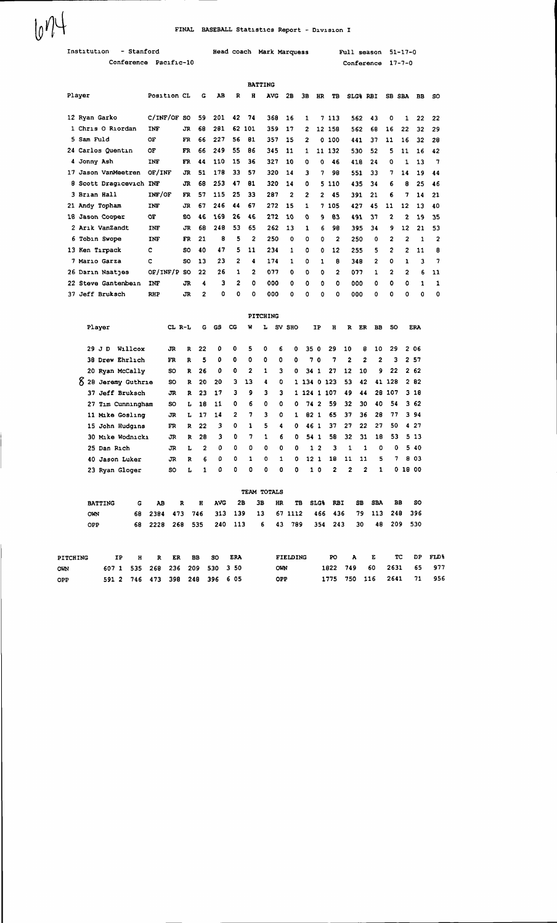| 10 <sup>11</sup>          | FINAL BASEBALL Statistics Report - Division I |                     |  |  |  |  |  |  |  |  |  |
|---------------------------|-----------------------------------------------|---------------------|--|--|--|--|--|--|--|--|--|
| Institution<br>- Stanford | Head coach Mark Marquess                      | Full season 51-17-0 |  |  |  |  |  |  |  |  |  |
| Conference Pacific-10     |                                               | Conference 17-7-0   |  |  |  |  |  |  |  |  |  |
| <b>BATTING</b><br>- -     |                                               |                     |  |  |  |  |  |  |  |  |  |

| Player              | <b>Position CL</b> |           | G  | ΑВ  | R            | н              | <b>AVG</b> | 2в             | 3в | HR             | TB             | SLG% RBI |    |                | SB SBA         | BB | SO. |
|---------------------|--------------------|-----------|----|-----|--------------|----------------|------------|----------------|----|----------------|----------------|----------|----|----------------|----------------|----|-----|
| 12 Ryan Garko       | C/INF/OF           | <b>SO</b> | 59 | 201 | 42           | 74             | 368        | 16             | 1  |                | 7 113          | 562      | 43 | 0              | 1              | 22 | 22  |
| 1 Chris O Riordan   | INF                | JR        | 68 | 281 | 62           | 101            | 359        | 17             | 2  |                | 12 158         | 562      | 68 | 16             | 22             | 32 | 29  |
| 5 Sam Fuld          | OF                 | FR        | 66 | 227 | 56           | 81             | 357        | 15             | 2  |                | 0 100          | 441      | 37 | 11             | 16             | 32 | 28  |
| 24 Carlos Quentin   | OF                 | FR        | 66 | 249 | 55           | 86             | 345        | 11             | 1  |                | 11 132         | 530      | 52 | 5              | 11             | 16 | 42  |
| 4 Jonny Ash         | <b>INF</b>         | FR        | 44 | 110 | 15           | 36             | 327        | 10             | ٥  | 0              | 46             | 418      | 24 | ٥              | 1              | 13 | 7   |
| 17 Jason VanMeetren | OF/INF             | JR        | 51 | 178 | 33           | 57             | 320        | 14             | 3  | 7              | 98             | 551      | 33 | 7              | 14             | 19 | 44  |
| 8 Scott Dragicevich | <b>INF</b>         | <b>JR</b> | 68 | 253 | 47           | 81             | 320        | 14             | ٥  |                | 5 110          | 435      | 34 | 6              | 8              | 25 | 46  |
| 3 Brian Hall        | INF/OF             | FR        | 57 | 115 | 25           | 33             | 287        | $\overline{2}$ | 2  | $\overline{2}$ | 45             | 391      | 21 | 6              | 7              | 14 | 21  |
| 21 Andy Topham      | <b>INF</b>         | ĴR        | 67 | 246 | 44           | 67             | 272        | 15             | 1  |                | 7 105          | 427      | 45 | 11             | 12             | 13 | 40  |
| 18 Jason Cooper     | OF                 | SO.       | 46 | 169 | 26           | 46             | 272        | 10             | o  | 9              | 83             | 491      | 37 | 2              | 2              | 19 | 35  |
| 2 Arik VanZandt     | <b>INF</b>         | JR        | 68 | 248 | 53           | 65             | 262        | 13             | 1  | 6              | 98             | 395      | 34 | 9              | 12             | 21 | 53  |
| 6 Tobin Swope       | INF                | FR.       | 21 | 8   | 5            | 2              | 250        | 0              | 0  | 0              | $\overline{2}$ | 250      | 0  | $\overline{2}$ | $\overline{2}$ | 1  | 2   |
| 13 Ken Tirpack      | c                  | <b>SO</b> | 40 | 47  | 5            | 11             | 234        | 1              | ٥  | 0              | 12             | 255      | 5  | $\mathbf{2}$   | 2              | 11 | 8   |
| 7 Mario Garza       | c                  | so        | 13 | 23  | 2            | 4              | 174        | 1              | ٥  | 1              | 8              | 348      | 2  | ٥              | 1              | 3  | 7   |
| 26 Darin Naatjes    | OF/INF/P           | <b>SO</b> | 22 | 26  | 1            | $\overline{2}$ | 077        | 0              | Ð  | O              | $\mathbf{2}$   | 077      | 1. | $\mathbf{2}$   | 2              | 6  | 11  |
| 22 Steve Gantenbein | <b>INF</b>         | <b>JR</b> | 4  | 3   | $\mathbf{2}$ | O              | 000        | 0              | 0  | 0              | 0              | 000      | o  | o              | 0              | 1  | 1   |
| 37 Jeff Bruksch     | <b>RHP</b>         | <b>JR</b> | 2  | o   | 0            | o              | 000        | 0              | 0  | 0              | O              | 000      | 0  | 0              | o              | o  | 0   |

|                     |         |      |           |              |                |             |                |              | PITCHING    |              |             |                      |                |                |                |              |              |       |            |
|---------------------|---------|------|-----------|--------------|----------------|-------------|----------------|--------------|-------------|--------------|-------------|----------------------|----------------|----------------|----------------|--------------|--------------|-------|------------|
| Player              |         |      | CL R-L    |              | G              | GS          | CG             | w            | L           |              | SV SHO      | IP                   | $\mathbf H$    | R              | ER             | <b>BB</b>    | <b>SO</b>    |       | <b>ERA</b> |
| JD<br>29            | Willcox |      | JR.       | $\mathbf{R}$ | 22             | $\mathbf o$ | 0              | 5            | 0           | 6            | 0           | 35<br>$\mathbf 0$    | 29             | 10             | 8              | 10           | 29           |       | 2 06       |
| 38 Drew Ehrlich     |         |      | FR        | R            | 5              | 0           | 0              | 0            | 0           | 0            | 0           | 7<br>$\mathbf 0$     | 7              | $\overline{2}$ | $\overline{2}$ | 2            | 3            |       | 2 57       |
| 20 Ryan McCally     |         |      | so        | R            | 26             | 0           | 0              | 2            | 1           | 3            | 0           | 34<br>1              | 27             | 12             | 10             | 9.           | 22           |       | 2 62       |
| 8 28 Jeremy Guthrie |         |      | SO        | $\mathbf{R}$ | 20             | 20          | з              | 13           | 4           | O            |             | 1 134 0 123          |                | 53             | 42             | 41           | 128          |       | 282        |
| 37 Jeff Bruksch     |         |      | JR        | R            | 23             | 17          | 3              | 9            | 3           | з            |             | 1 124 1 107          |                | 49             | 44             |              | 28 107       |       | 318        |
| 27 Tim Cunningham   |         |      | so        | L            | 18             | 11          | ٥              | 6            | 0           | $\Omega$     | 0           | 74<br>$\overline{2}$ | 59             | 32             | 30             | 40           | 54           |       | 362        |
| 11 Mike Gosling     |         |      | JR        | L            | 17             | 14          | $\overline{2}$ | 7            | 3           | $\Omega$     | 1           | 82<br>$\mathbf{1}$   | 65             | 37             | 36             | 28           | 77           |       | 394        |
| 15 John Hudgins     |         |      | FR        | R            | 22             | 3           | 0              | 1            | 5           | 4            | $\mathbf 0$ | 46 1                 | 37             | 27             | 22             | 27           | 50           |       | 427        |
| 30 Mike Wodnicki    |         |      | JR        | R            | 28             | 3           | 0              | 7            | 1           | 6            | $\mathbf 0$ | 54 <sub>1</sub>      | 58             | 32             | 31             | 18           | 53           |       | 5 13       |
| 25 Dan Rich         |         |      | JR        | L            | $\overline{2}$ | ٥           | ٥              | ٥            | ٥           | 0            | 0           | $\mathbf{1}$<br>2    | 3              | 1              | 1              | O            | 0            |       | 5 40       |
| Jason Luker<br>40.  |         |      | JR.       | $\mathbf R$  | 6              | ٥           | ٥              | $\mathbf{1}$ | 0           | $\mathbf{1}$ | 0           | 12 <sub>1</sub>      | 18             | 11             | 11             | 5            | 7            | 8     | 03         |
| 23 Ryan Gloger      |         |      | <b>SO</b> | L            | 1              | ٥           | ٥              | 0            | 0           | 0            | 0           | 1 <sub>0</sub>       | $\overline{2}$ | 2              | $\overline{2}$ | $\mathbf{1}$ | $\mathbf{o}$ | 18 00 |            |
|                     |         |      |           |              |                |             |                |              | TEAM TOTALS |              |             |                      |                |                |                |              |              |       |            |
| <b>BATTING</b>      | G       | AB   |           | R            | Ħ              | <b>AVG</b>  | 2B             |              | 3B          | HR           | TB          | <b>SLG&amp;</b>      | <b>RBI</b>     |                | <b>SB</b>      | <b>SBA</b>   | <b>BB</b>    |       | SO.        |
| OWN                 | 68      | 2384 | 473       |              | 746            | 313         | 139            |              | 13          | 67           | 1112        | 466                  | 436            |                | 79             | 113          | 248          |       | 396        |
| OPP                 | 68      | 2228 | 268       |              | 535            | 240         | 113            |              | 6           | 43           | 789         | 354                  | 243            |                | 30             | 48           | 209          |       | 530        |

| PITCHING | TP.                            | HRERBBSO |  | <b>ERA</b> | <b>FIELDING</b> |  | PO A E |                          | TC DP FLD% |
|----------|--------------------------------|----------|--|------------|-----------------|--|--------|--------------------------|------------|
| OWN      | 607 1 535 268 236 209 530 3 50 |          |  |            | <b>OWN</b>      |  |        | 1822 749 60 2631 65 977  |            |
| OPP      | 591 2 746 473 398 248 396 6 05 |          |  |            | OPP             |  |        | 1775 750 116 2641 71 956 |            |